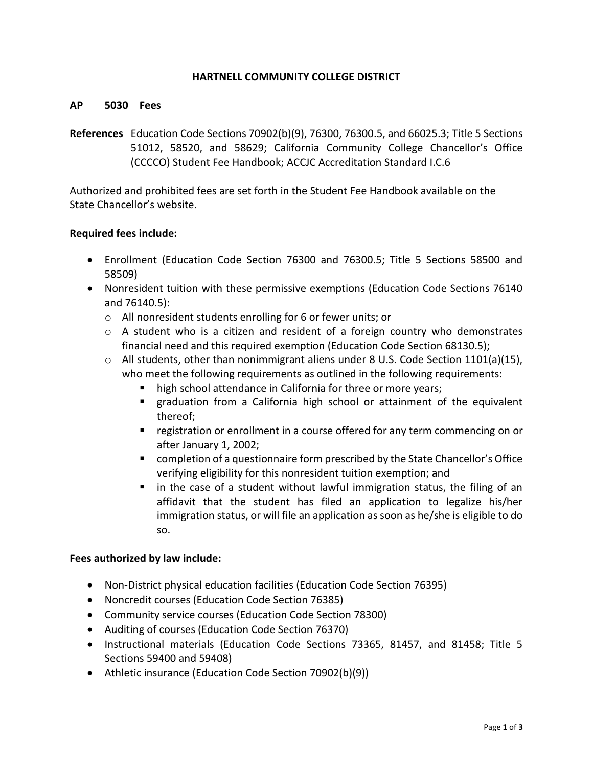# **HARTNELL COMMUNITY COLLEGE DISTRICT**

#### **AP 5030 Fees**

**References** Education Code Sections 70902(b)(9), 76300, 76300.5, and 66025.3; Title 5 Sections 51012, 58520, and 58629; California Community College Chancellor's Office (CCCCO) Student Fee Handbook; ACCJC Accreditation Standard I.C.6

Authorized and prohibited fees are set forth in the Student Fee Handbook available on the State Chancellor's website.

#### **Required fees include:**

- Enrollment (Education Code Section 76300 and 76300.5; Title 5 Sections 58500 and 58509)
- Nonresident tuition with these permissive exemptions (Education Code Sections 76140 and 76140.5):
	- o All nonresident students enrolling for 6 or fewer units; or
	- $\circ$  A student who is a citizen and resident of a foreign country who demonstrates financial need and this required exemption (Education Code Section 68130.5);
	- $\circ$  All students, other than nonimmigrant aliens under 8 U.S. Code Section 1101(a)(15), who meet the following requirements as outlined in the following requirements:
		- high school attendance in California for three or more years;
		- graduation from a California high school or attainment of the equivalent thereof;
		- **F** registration or enrollment in a course offered for any term commencing on or after January 1, 2002;
		- completion of a questionnaire form prescribed by the State Chancellor's Office verifying eligibility for this nonresident tuition exemption; and
		- **If** in the case of a student without lawful immigration status, the filing of an affidavit that the student has filed an application to legalize his/her immigration status, or will file an application as soon as he/she is eligible to do so.

# **Fees authorized by law include:**

- Non-District physical education facilities (Education Code Section 76395)
- Noncredit courses (Education Code Section 76385)
- Community service courses (Education Code Section 78300)
- Auditing of courses (Education Code Section 76370)
- Instructional materials (Education Code Sections 73365, 81457, and 81458; Title 5 Sections 59400 and 59408)
- Athletic insurance (Education Code Section 70902(b)(9))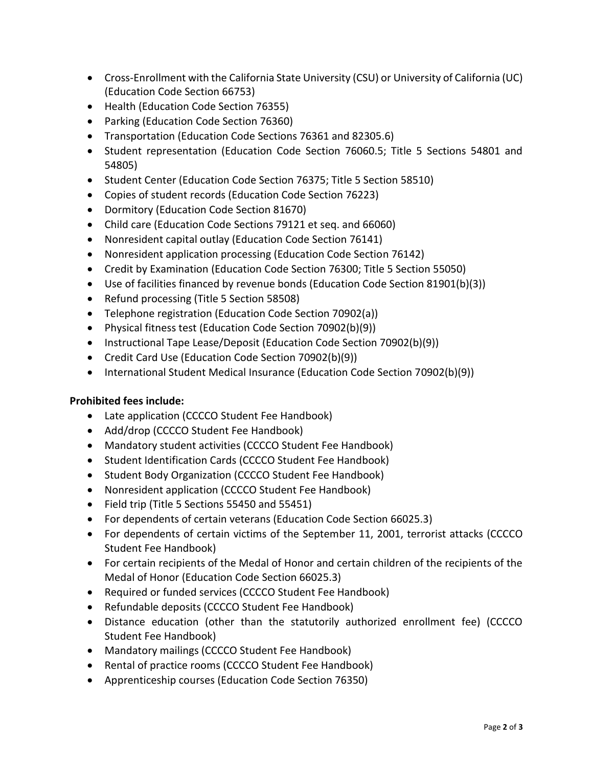- Cross-Enrollment with the California State University (CSU) or University of California (UC) (Education Code Section 66753)
- Health (Education Code Section 76355)
- Parking (Education Code Section 76360)
- Transportation (Education Code Sections 76361 and 82305.6)
- Student representation (Education Code Section 76060.5; Title 5 Sections 54801 and 54805)
- Student Center (Education Code Section 76375; Title 5 Section 58510)
- Copies of student records (Education Code Section 76223)
- Dormitory (Education Code Section 81670)
- Child care (Education Code Sections 79121 et seq. and 66060)
- Nonresident capital outlay (Education Code Section 76141)
- Nonresident application processing (Education Code Section 76142)
- Credit by Examination (Education Code Section 76300; Title 5 Section 55050)
- Use of facilities financed by revenue bonds (Education Code Section 81901(b)(3))
- Refund processing (Title 5 Section 58508)
- Telephone registration (Education Code Section 70902(a))
- Physical fitness test (Education Code Section 70902(b)(9))
- Instructional Tape Lease/Deposit (Education Code Section 70902(b)(9))
- Credit Card Use (Education Code Section 70902(b)(9))
- International Student Medical Insurance (Education Code Section 70902(b)(9))

# **Prohibited fees include:**

- Late application (CCCCO Student Fee Handbook)
- Add/drop (CCCCO Student Fee Handbook)
- Mandatory student activities (CCCCO Student Fee Handbook)
- Student Identification Cards (CCCCO Student Fee Handbook)
- Student Body Organization (CCCCO Student Fee Handbook)
- Nonresident application (CCCCO Student Fee Handbook)
- Field trip (Title 5 Sections 55450 and 55451)
- For dependents of certain veterans (Education Code Section 66025.3)
- For dependents of certain victims of the September 11, 2001, terrorist attacks (CCCCO Student Fee Handbook)
- For certain recipients of the Medal of Honor and certain children of the recipients of the Medal of Honor (Education Code Section 66025.3)
- Required or funded services (CCCCO Student Fee Handbook)
- Refundable deposits (CCCCO Student Fee Handbook)
- Distance education (other than the statutorily authorized enrollment fee) (CCCCO Student Fee Handbook)
- Mandatory mailings (CCCCO Student Fee Handbook)
- Rental of practice rooms (CCCCO Student Fee Handbook)
- Apprenticeship courses (Education Code Section 76350)